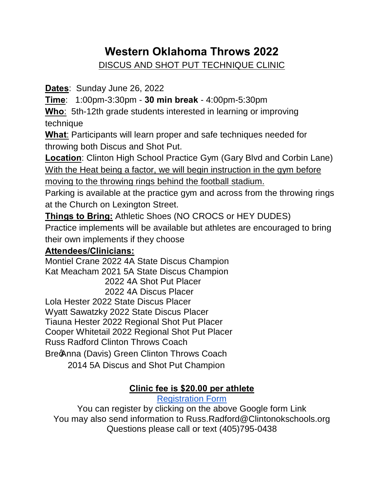# **Western Oklahoma Throws 2022**

DISCUS AND SHOT PUT TECHNIQUE CLINIC

**Dates**: Sunday June 26, 2022

**Time**: 1:00pm-3:30pm - **30 min break** - 4:00pm-5:30pm

**Who**: 5th-12th grade students interested in learning or improving technique

**What**: Participants will learn proper and safe techniques needed for throwing both Discus and Shot Put.

**Location**: Clinton High School Practice Gym (Gary Blvd and Corbin Lane) With the Heat being a factor, we will begin instruction in the gym before moving to the throwing rings behind the football stadium.

Parking is available at the practice gym and across from the throwing rings at the Church on Lexington Street.

**Things to Bring:** Athletic Shoes (NO CROCS or HEY DUDES)

Practice implements will be available but athletes are encouraged to bring their own implements if they choose

## **Attendees/Clinicians:**

Montiel Crane 2022 4A State Discus Champion Kat Meacham 2021 5A State Discus Champion 2022 4A Shot Put Placer 2022 4A Discus Placer Lola Hester 2022 State Discus Placer Wyatt Sawatzky 2022 State Discus Placer Tiauna Hester 2022 Regional Shot Put Placer Cooper Whitetail 2022 Regional Shot Put Placer Russ Radford Clinton Throws Coach BrecAnna (Davis) Green Clinton Throws Coach 2014 5A Discus and Shot Put Champion

### **Clinic fee is \$20.00 per athlete**

[Registration Form](https://docs.google.com/forms/d/e/1FAIpQLSdPfqNdAmS54NXzutG0HNNh59ipfuId3Xalge9PdQ6A8GMPkA/viewform?usp=pp_url) 

You can register by clicking on the above Google form Link You may also send information to Russ.Radford@Clintonokschools.org Questions please call or text (405)795-0438